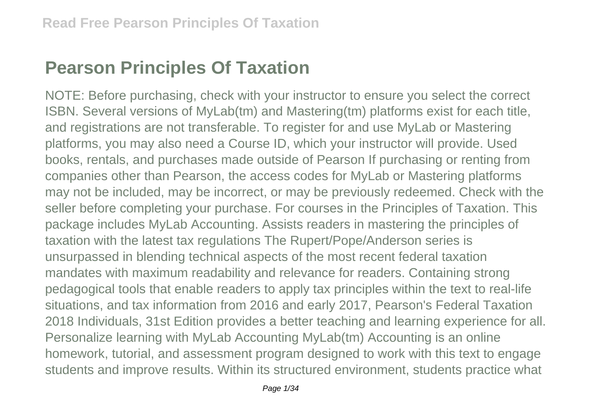## **Pearson Principles Of Taxation**

NOTE: Before purchasing, check with your instructor to ensure you select the correct ISBN. Several versions of MyLab(tm) and Mastering(tm) platforms exist for each title, and registrations are not transferable. To register for and use MyLab or Mastering platforms, you may also need a Course ID, which your instructor will provide. Used books, rentals, and purchases made outside of Pearson If purchasing or renting from companies other than Pearson, the access codes for MyLab or Mastering platforms may not be included, may be incorrect, or may be previously redeemed. Check with the seller before completing your purchase. For courses in the Principles of Taxation. This package includes MyLab Accounting. Assists readers in mastering the principles of taxation with the latest tax regulations The Rupert/Pope/Anderson series is unsurpassed in blending technical aspects of the most recent federal taxation mandates with maximum readability and relevance for readers. Containing strong pedagogical tools that enable readers to apply tax principles within the text to real-life situations, and tax information from 2016 and early 2017, Pearson's Federal Taxation 2018 Individuals, 31st Edition provides a better teaching and learning experience for all. Personalize learning with MyLab Accounting MyLab(tm) Accounting is an online homework, tutorial, and assessment program designed to work with this text to engage students and improve results. Within its structured environment, students practice what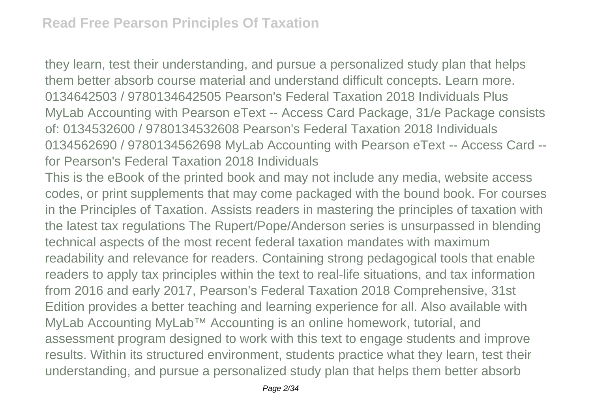they learn, test their understanding, and pursue a personalized study plan that helps them better absorb course material and understand difficult concepts. Learn more. 0134642503 / 9780134642505 Pearson's Federal Taxation 2018 Individuals Plus MyLab Accounting with Pearson eText -- Access Card Package, 31/e Package consists of: 0134532600 / 9780134532608 Pearson's Federal Taxation 2018 Individuals 0134562690 / 9780134562698 MyLab Accounting with Pearson eText -- Access Card - for Pearson's Federal Taxation 2018 Individuals

This is the eBook of the printed book and may not include any media, website access codes, or print supplements that may come packaged with the bound book. For courses in the Principles of Taxation. Assists readers in mastering the principles of taxation with the latest tax regulations The Rupert/Pope/Anderson series is unsurpassed in blending technical aspects of the most recent federal taxation mandates with maximum readability and relevance for readers. Containing strong pedagogical tools that enable readers to apply tax principles within the text to real-life situations, and tax information from 2016 and early 2017, Pearson's Federal Taxation 2018 Comprehensive, 31st Edition provides a better teaching and learning experience for all. Also available with MyLab Accounting MyLab™ Accounting is an online homework, tutorial, and assessment program designed to work with this text to engage students and improve results. Within its structured environment, students practice what they learn, test their understanding, and pursue a personalized study plan that helps them better absorb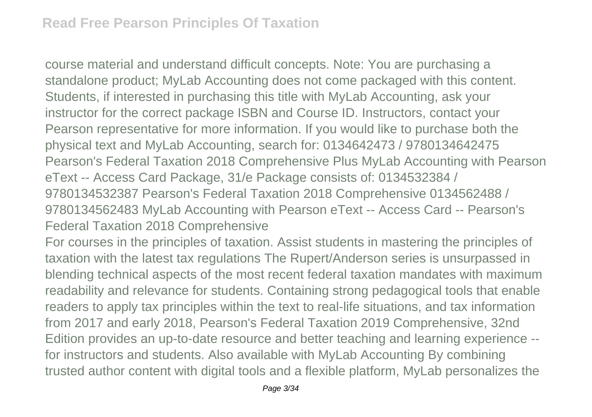course material and understand difficult concepts. Note: You are purchasing a standalone product; MyLab Accounting does not come packaged with this content. Students, if interested in purchasing this title with MyLab Accounting, ask your instructor for the correct package ISBN and Course ID. Instructors, contact your Pearson representative for more information. If you would like to purchase both the physical text and MyLab Accounting, search for: 0134642473 / 9780134642475 Pearson's Federal Taxation 2018 Comprehensive Plus MyLab Accounting with Pearson eText -- Access Card Package, 31/e Package consists of: 0134532384 / 9780134532387 Pearson's Federal Taxation 2018 Comprehensive 0134562488 / 9780134562483 MyLab Accounting with Pearson eText -- Access Card -- Pearson's Federal Taxation 2018 Comprehensive

For courses in the principles of taxation. Assist students in mastering the principles of taxation with the latest tax regulations The Rupert/Anderson series is unsurpassed in blending technical aspects of the most recent federal taxation mandates with maximum readability and relevance for students. Containing strong pedagogical tools that enable readers to apply tax principles within the text to real-life situations, and tax information from 2017 and early 2018, Pearson's Federal Taxation 2019 Comprehensive, 32nd Edition provides an up-to-date resource and better teaching and learning experience - for instructors and students. Also available with MyLab Accounting By combining trusted author content with digital tools and a flexible platform, MyLab personalizes the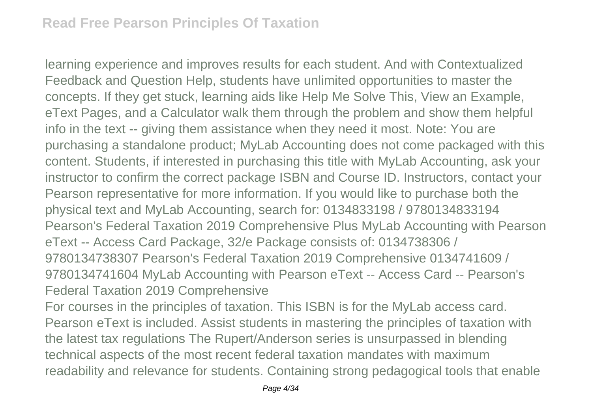learning experience and improves results for each student. And with Contextualized Feedback and Question Help, students have unlimited opportunities to master the concepts. If they get stuck, learning aids like Help Me Solve This, View an Example, eText Pages, and a Calculator walk them through the problem and show them helpful info in the text -- giving them assistance when they need it most. Note: You are purchasing a standalone product; MyLab Accounting does not come packaged with this content. Students, if interested in purchasing this title with MyLab Accounting, ask your instructor to confirm the correct package ISBN and Course ID. Instructors, contact your Pearson representative for more information. If you would like to purchase both the physical text and MyLab Accounting, search for: 0134833198 / 9780134833194 Pearson's Federal Taxation 2019 Comprehensive Plus MyLab Accounting with Pearson eText -- Access Card Package, 32/e Package consists of: 0134738306 / 9780134738307 Pearson's Federal Taxation 2019 Comprehensive 0134741609 / 9780134741604 MyLab Accounting with Pearson eText -- Access Card -- Pearson's Federal Taxation 2019 Comprehensive For courses in the principles of taxation. This ISBN is for the MyLab access card.

Pearson eText is included. Assist students in mastering the principles of taxation with the latest tax regulations The Rupert/Anderson series is unsurpassed in blending technical aspects of the most recent federal taxation mandates with maximum readability and relevance for students. Containing strong pedagogical tools that enable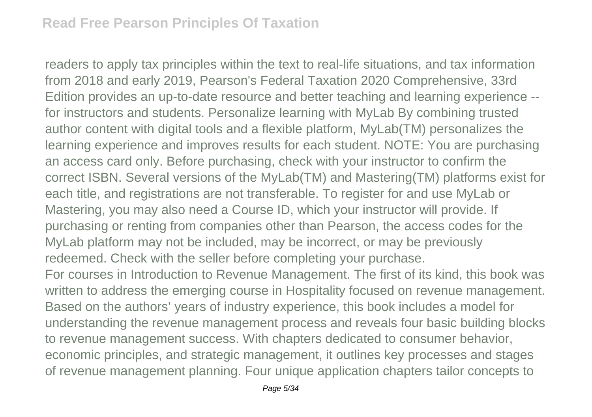readers to apply tax principles within the text to real-life situations, and tax information from 2018 and early 2019, Pearson's Federal Taxation 2020 Comprehensive, 33rd Edition provides an up-to-date resource and better teaching and learning experience - for instructors and students. Personalize learning with MyLab By combining trusted author content with digital tools and a flexible platform, MyLab(TM) personalizes the learning experience and improves results for each student. NOTE: You are purchasing an access card only. Before purchasing, check with your instructor to confirm the correct ISBN. Several versions of the MyLab(TM) and Mastering(TM) platforms exist for each title, and registrations are not transferable. To register for and use MyLab or Mastering, you may also need a Course ID, which your instructor will provide. If purchasing or renting from companies other than Pearson, the access codes for the MyLab platform may not be included, may be incorrect, or may be previously redeemed. Check with the seller before completing your purchase. For courses in Introduction to Revenue Management. The first of its kind, this book was written to address the emerging course in Hospitality focused on revenue management. Based on the authors' years of industry experience, this book includes a model for understanding the revenue management process and reveals four basic building blocks

to revenue management success. With chapters dedicated to consumer behavior, economic principles, and strategic management, it outlines key processes and stages of revenue management planning. Four unique application chapters tailor concepts to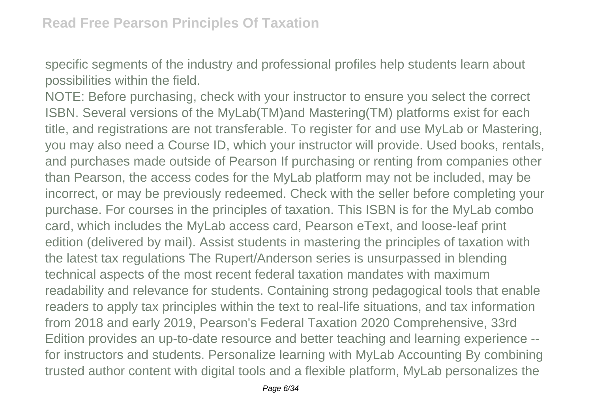specific segments of the industry and professional profiles help students learn about possibilities within the field.

NOTE: Before purchasing, check with your instructor to ensure you select the correct ISBN. Several versions of the MyLab(TM)and Mastering(TM) platforms exist for each title, and registrations are not transferable. To register for and use MyLab or Mastering, you may also need a Course ID, which your instructor will provide. Used books, rentals, and purchases made outside of Pearson If purchasing or renting from companies other than Pearson, the access codes for the MyLab platform may not be included, may be incorrect, or may be previously redeemed. Check with the seller before completing your purchase. For courses in the principles of taxation. This ISBN is for the MyLab combo card, which includes the MyLab access card, Pearson eText, and loose-leaf print edition (delivered by mail). Assist students in mastering the principles of taxation with the latest tax regulations The Rupert/Anderson series is unsurpassed in blending technical aspects of the most recent federal taxation mandates with maximum readability and relevance for students. Containing strong pedagogical tools that enable readers to apply tax principles within the text to real-life situations, and tax information from 2018 and early 2019, Pearson's Federal Taxation 2020 Comprehensive, 33rd Edition provides an up-to-date resource and better teaching and learning experience - for instructors and students. Personalize learning with MyLab Accounting By combining trusted author content with digital tools and a flexible platform, MyLab personalizes the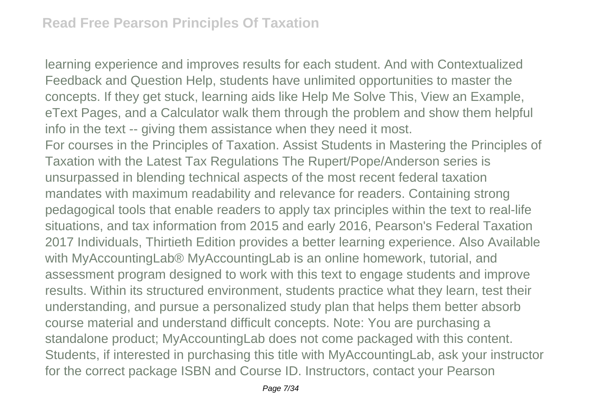learning experience and improves results for each student. And with Contextualized Feedback and Question Help, students have unlimited opportunities to master the concepts. If they get stuck, learning aids like Help Me Solve This, View an Example, eText Pages, and a Calculator walk them through the problem and show them helpful info in the text -- giving them assistance when they need it most. For courses in the Principles of Taxation. Assist Students in Mastering the Principles of Taxation with the Latest Tax Regulations The Rupert/Pope/Anderson series is unsurpassed in blending technical aspects of the most recent federal taxation mandates with maximum readability and relevance for readers. Containing strong pedagogical tools that enable readers to apply tax principles within the text to real-life situations, and tax information from 2015 and early 2016, Pearson's Federal Taxation 2017 Individuals, Thirtieth Edition provides a better learning experience. Also Available with MyAccountingLab® MyAccountingLab is an online homework, tutorial, and assessment program designed to work with this text to engage students and improve results. Within its structured environment, students practice what they learn, test their understanding, and pursue a personalized study plan that helps them better absorb course material and understand difficult concepts. Note: You are purchasing a standalone product; MyAccountingLab does not come packaged with this content. Students, if interested in purchasing this title with MyAccountingLab, ask your instructor for the correct package ISBN and Course ID. Instructors, contact your Pearson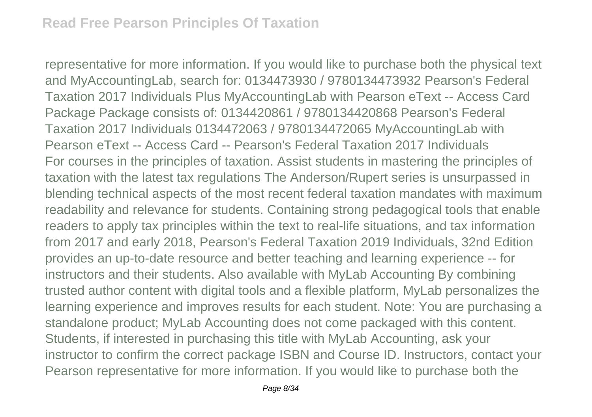representative for more information. If you would like to purchase both the physical text and MyAccountingLab, search for: 0134473930 / 9780134473932 Pearson's Federal Taxation 2017 Individuals Plus MyAccountingLab with Pearson eText -- Access Card Package Package consists of: 0134420861 / 9780134420868 Pearson's Federal Taxation 2017 Individuals 0134472063 / 9780134472065 MyAccountingLab with Pearson eText -- Access Card -- Pearson's Federal Taxation 2017 Individuals For courses in the principles of taxation. Assist students in mastering the principles of taxation with the latest tax regulations The Anderson/Rupert series is unsurpassed in blending technical aspects of the most recent federal taxation mandates with maximum readability and relevance for students. Containing strong pedagogical tools that enable readers to apply tax principles within the text to real-life situations, and tax information from 2017 and early 2018, Pearson's Federal Taxation 2019 Individuals, 32nd Edition provides an up-to-date resource and better teaching and learning experience -- for instructors and their students. Also available with MyLab Accounting By combining trusted author content with digital tools and a flexible platform, MyLab personalizes the learning experience and improves results for each student. Note: You are purchasing a standalone product; MyLab Accounting does not come packaged with this content. Students, if interested in purchasing this title with MyLab Accounting, ask your instructor to confirm the correct package ISBN and Course ID. Instructors, contact your Pearson representative for more information. If you would like to purchase both the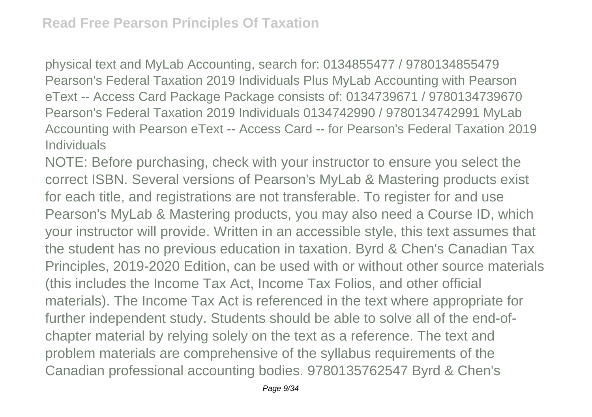physical text and MyLab Accounting, search for: 0134855477 / 9780134855479 Pearson's Federal Taxation 2019 Individuals Plus MyLab Accounting with Pearson eText -- Access Card Package Package consists of: 0134739671 / 9780134739670 Pearson's Federal Taxation 2019 Individuals 0134742990 / 9780134742991 MyLab Accounting with Pearson eText -- Access Card -- for Pearson's Federal Taxation 2019 Individuals

NOTE: Before purchasing, check with your instructor to ensure you select the correct ISBN. Several versions of Pearson's MyLab & Mastering products exist for each title, and registrations are not transferable. To register for and use Pearson's MyLab & Mastering products, you may also need a Course ID, which your instructor will provide. Written in an accessible style, this text assumes that the student has no previous education in taxation. Byrd & Chen's Canadian Tax Principles, 2019-2020 Edition, can be used with or without other source materials (this includes the Income Tax Act, Income Tax Folios, and other official materials). The Income Tax Act is referenced in the text where appropriate for further independent study. Students should be able to solve all of the end-ofchapter material by relying solely on the text as a reference. The text and problem materials are comprehensive of the syllabus requirements of the Canadian professional accounting bodies. 9780135762547 Byrd & Chen's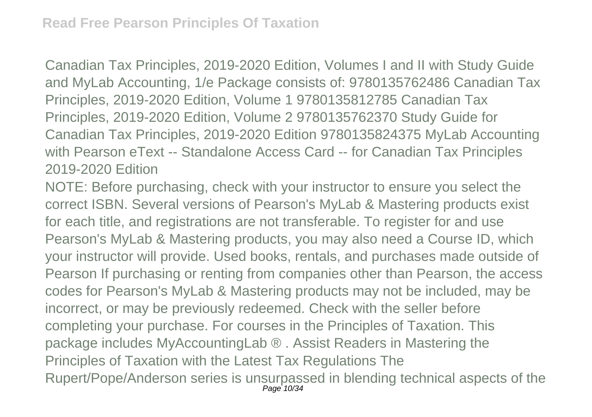Canadian Tax Principles, 2019-2020 Edition, Volumes I and II with Study Guide and MyLab Accounting, 1/e Package consists of: 9780135762486 Canadian Tax Principles, 2019-2020 Edition, Volume 1 9780135812785 Canadian Tax Principles, 2019-2020 Edition, Volume 2 9780135762370 Study Guide for Canadian Tax Principles, 2019-2020 Edition 9780135824375 MyLab Accounting with Pearson eText -- Standalone Access Card -- for Canadian Tax Principles 2019-2020 Edition

NOTE: Before purchasing, check with your instructor to ensure you select the correct ISBN. Several versions of Pearson's MyLab & Mastering products exist for each title, and registrations are not transferable. To register for and use Pearson's MyLab & Mastering products, you may also need a Course ID, which your instructor will provide. Used books, rentals, and purchases made outside of Pearson If purchasing or renting from companies other than Pearson, the access codes for Pearson's MyLab & Mastering products may not be included, may be incorrect, or may be previously redeemed. Check with the seller before completing your purchase. For courses in the Principles of Taxation. This package includes MyAccountingLab ® . Assist Readers in Mastering the Principles of Taxation with the Latest Tax Regulations The Rupert/Pope/Anderson series is unsurpassed in blending technical aspects of the Page 10/34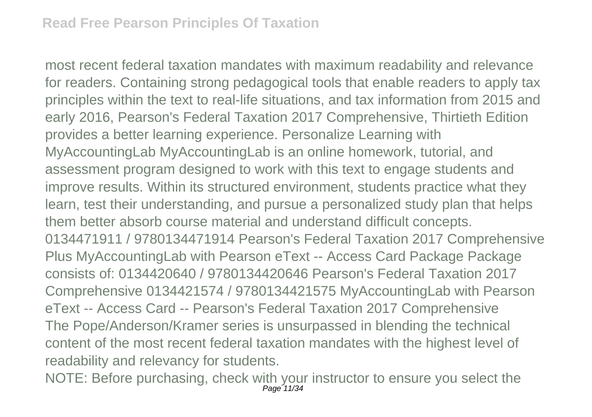most recent federal taxation mandates with maximum readability and relevance for readers. Containing strong pedagogical tools that enable readers to apply tax principles within the text to real-life situations, and tax information from 2015 and early 2016, Pearson's Federal Taxation 2017 Comprehensive, Thirtieth Edition provides a better learning experience. Personalize Learning with MyAccountingLab MyAccountingLab is an online homework, tutorial, and assessment program designed to work with this text to engage students and improve results. Within its structured environment, students practice what they learn, test their understanding, and pursue a personalized study plan that helps them better absorb course material and understand difficult concepts. 0134471911 / 9780134471914 Pearson's Federal Taxation 2017 Comprehensive Plus MyAccountingLab with Pearson eText -- Access Card Package Package consists of: 0134420640 / 9780134420646 Pearson's Federal Taxation 2017 Comprehensive 0134421574 / 9780134421575 MyAccountingLab with Pearson eText -- Access Card -- Pearson's Federal Taxation 2017 Comprehensive The Pope/Anderson/Kramer series is unsurpassed in blending the technical content of the most recent federal taxation mandates with the highest level of readability and relevancy for students.

NOTE: Before purchasing, check with your instructor to ensure you select the Page<sup>-</sup>11/34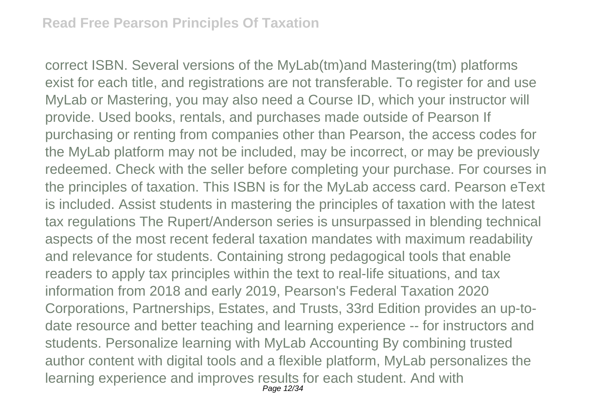correct ISBN. Several versions of the MyLab(tm)and Mastering(tm) platforms exist for each title, and registrations are not transferable. To register for and use MyLab or Mastering, you may also need a Course ID, which your instructor will provide. Used books, rentals, and purchases made outside of Pearson If purchasing or renting from companies other than Pearson, the access codes for the MyLab platform may not be included, may be incorrect, or may be previously redeemed. Check with the seller before completing your purchase. For courses in the principles of taxation. This ISBN is for the MyLab access card. Pearson eText is included. Assist students in mastering the principles of taxation with the latest tax regulations The Rupert/Anderson series is unsurpassed in blending technical aspects of the most recent federal taxation mandates with maximum readability and relevance for students. Containing strong pedagogical tools that enable readers to apply tax principles within the text to real-life situations, and tax information from 2018 and early 2019, Pearson's Federal Taxation 2020 Corporations, Partnerships, Estates, and Trusts, 33rd Edition provides an up-todate resource and better teaching and learning experience -- for instructors and students. Personalize learning with MyLab Accounting By combining trusted author content with digital tools and a flexible platform, MyLab personalizes the learning experience and improves results for each student. And with Page 12/34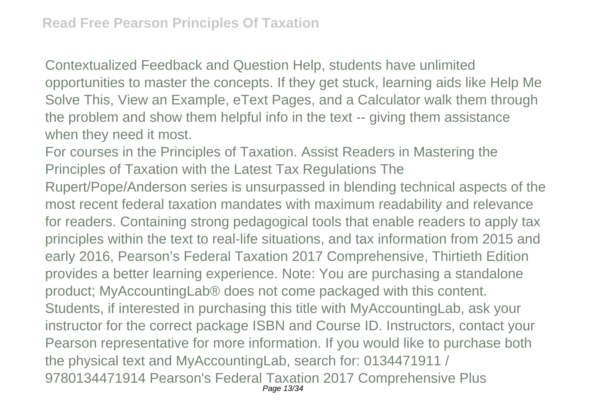Contextualized Feedback and Question Help, students have unlimited opportunities to master the concepts. If they get stuck, learning aids like Help Me Solve This, View an Example, eText Pages, and a Calculator walk them through the problem and show them helpful info in the text -- giving them assistance when they need it most.

For courses in the Principles of Taxation. Assist Readers in Mastering the Principles of Taxation with the Latest Tax Regulations The Rupert/Pope/Anderson series is unsurpassed in blending technical aspects of the most recent federal taxation mandates with maximum readability and relevance for readers. Containing strong pedagogical tools that enable readers to apply tax principles within the text to real-life situations, and tax information from 2015 and early 2016, Pearson's Federal Taxation 2017 Comprehensive, Thirtieth Edition provides a better learning experience. Note: You are purchasing a standalone product; MyAccountingLab® does not come packaged with this content. Students, if interested in purchasing this title with MyAccountingLab, ask your instructor for the correct package ISBN and Course ID. Instructors, contact your Pearson representative for more information. If you would like to purchase both the physical text and MyAccountingLab, search for: 0134471911 / 9780134471914 Pearson's Federal Taxation 2017 Comprehensive Plus Page 13/34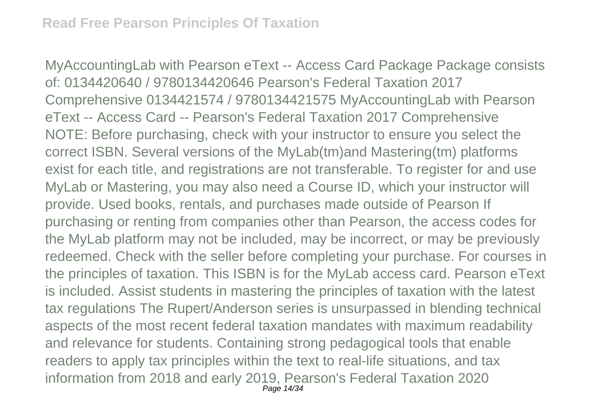MyAccountingLab with Pearson eText -- Access Card Package Package consists of: 0134420640 / 9780134420646 Pearson's Federal Taxation 2017 Comprehensive 0134421574 / 9780134421575 MyAccountingLab with Pearson eText -- Access Card -- Pearson's Federal Taxation 2017 Comprehensive NOTE: Before purchasing, check with your instructor to ensure you select the correct ISBN. Several versions of the MyLab(tm)and Mastering(tm) platforms exist for each title, and registrations are not transferable. To register for and use MyLab or Mastering, you may also need a Course ID, which your instructor will provide. Used books, rentals, and purchases made outside of Pearson If purchasing or renting from companies other than Pearson, the access codes for the MyLab platform may not be included, may be incorrect, or may be previously redeemed. Check with the seller before completing your purchase. For courses in the principles of taxation. This ISBN is for the MyLab access card. Pearson eText is included. Assist students in mastering the principles of taxation with the latest tax regulations The Rupert/Anderson series is unsurpassed in blending technical aspects of the most recent federal taxation mandates with maximum readability and relevance for students. Containing strong pedagogical tools that enable readers to apply tax principles within the text to real-life situations, and tax information from 2018 and early 2019, Pearson's Federal Taxation 2020 Page 14/34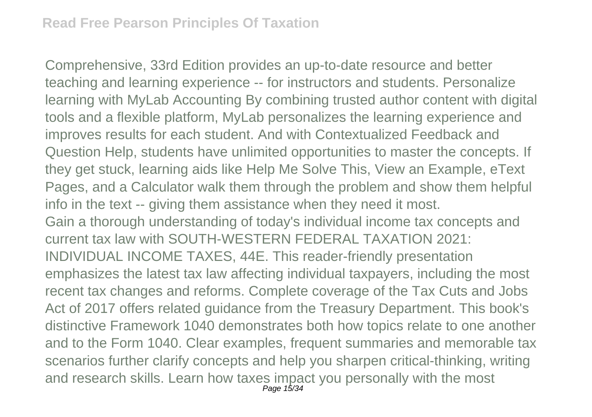Comprehensive, 33rd Edition provides an up-to-date resource and better teaching and learning experience -- for instructors and students. Personalize learning with MyLab Accounting By combining trusted author content with digital tools and a flexible platform, MyLab personalizes the learning experience and improves results for each student. And with Contextualized Feedback and Question Help, students have unlimited opportunities to master the concepts. If they get stuck, learning aids like Help Me Solve This, View an Example, eText Pages, and a Calculator walk them through the problem and show them helpful info in the text -- giving them assistance when they need it most. Gain a thorough understanding of today's individual income tax concepts and current tax law with SOUTH-WESTERN FEDERAL TAXATION 2021: INDIVIDUAL INCOME TAXES, 44E. This reader-friendly presentation emphasizes the latest tax law affecting individual taxpayers, including the most recent tax changes and reforms. Complete coverage of the Tax Cuts and Jobs Act of 2017 offers related guidance from the Treasury Department. This book's distinctive Framework 1040 demonstrates both how topics relate to one another and to the Form 1040. Clear examples, frequent summaries and memorable tax scenarios further clarify concepts and help you sharpen critical-thinking, writing and research skills. Learn how taxes impact you personally with the most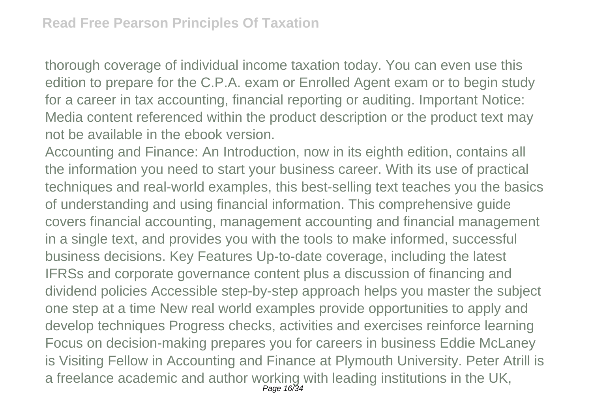thorough coverage of individual income taxation today. You can even use this edition to prepare for the C.P.A. exam or Enrolled Agent exam or to begin study for a career in tax accounting, financial reporting or auditing. Important Notice: Media content referenced within the product description or the product text may not be available in the ebook version.

Accounting and Finance: An Introduction, now in its eighth edition, contains all the information you need to start your business career. With its use of practical techniques and real-world examples, this best-selling text teaches you the basics of understanding and using financial information. This comprehensive guide covers financial accounting, management accounting and financial management in a single text, and provides you with the tools to make informed, successful business decisions. Key Features Up-to-date coverage, including the latest IFRSs and corporate governance content plus a discussion of financing and dividend policies Accessible step-by-step approach helps you master the subject one step at a time New real world examples provide opportunities to apply and develop techniques Progress checks, activities and exercises reinforce learning Focus on decision-making prepares you for careers in business Eddie McLaney is Visiting Fellow in Accounting and Finance at Plymouth University. Peter Atrill is a freelance academic and author working with leading institutions in the UK, Page 16/34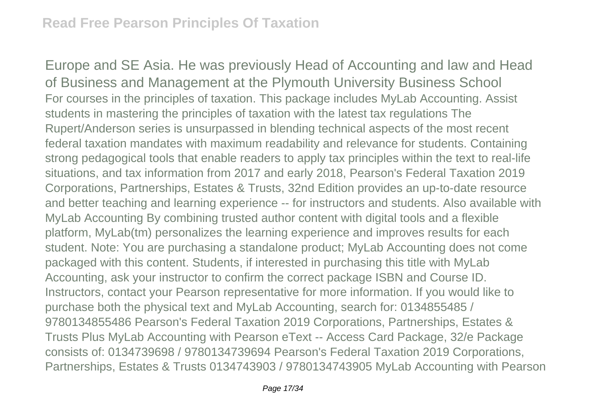Europe and SE Asia. He was previously Head of Accounting and law and Head of Business and Management at the Plymouth University Business School For courses in the principles of taxation. This package includes MyLab Accounting. Assist students in mastering the principles of taxation with the latest tax regulations The Rupert/Anderson series is unsurpassed in blending technical aspects of the most recent federal taxation mandates with maximum readability and relevance for students. Containing strong pedagogical tools that enable readers to apply tax principles within the text to real-life situations, and tax information from 2017 and early 2018, Pearson's Federal Taxation 2019 Corporations, Partnerships, Estates & Trusts, 32nd Edition provides an up-to-date resource and better teaching and learning experience -- for instructors and students. Also available with MyLab Accounting By combining trusted author content with digital tools and a flexible platform, MyLab(tm) personalizes the learning experience and improves results for each student. Note: You are purchasing a standalone product; MyLab Accounting does not come packaged with this content. Students, if interested in purchasing this title with MyLab Accounting, ask your instructor to confirm the correct package ISBN and Course ID. Instructors, contact your Pearson representative for more information. If you would like to purchase both the physical text and MyLab Accounting, search for: 0134855485 / 9780134855486 Pearson's Federal Taxation 2019 Corporations, Partnerships, Estates & Trusts Plus MyLab Accounting with Pearson eText -- Access Card Package, 32/e Package consists of: 0134739698 / 9780134739694 Pearson's Federal Taxation 2019 Corporations, Partnerships, Estates & Trusts 0134743903 / 9780134743905 MyLab Accounting with Pearson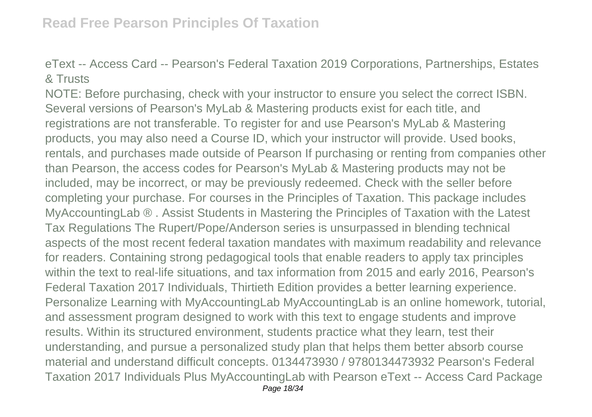eText -- Access Card -- Pearson's Federal Taxation 2019 Corporations, Partnerships, Estates & Trusts

NOTE: Before purchasing, check with your instructor to ensure you select the correct ISBN. Several versions of Pearson's MyLab & Mastering products exist for each title, and registrations are not transferable. To register for and use Pearson's MyLab & Mastering products, you may also need a Course ID, which your instructor will provide. Used books, rentals, and purchases made outside of Pearson If purchasing or renting from companies other than Pearson, the access codes for Pearson's MyLab & Mastering products may not be included, may be incorrect, or may be previously redeemed. Check with the seller before completing your purchase. For courses in the Principles of Taxation. This package includes MyAccountingLab ® . Assist Students in Mastering the Principles of Taxation with the Latest Tax Regulations The Rupert/Pope/Anderson series is unsurpassed in blending technical aspects of the most recent federal taxation mandates with maximum readability and relevance for readers. Containing strong pedagogical tools that enable readers to apply tax principles within the text to real-life situations, and tax information from 2015 and early 2016, Pearson's Federal Taxation 2017 Individuals, Thirtieth Edition provides a better learning experience. Personalize Learning with MyAccountingLab MyAccountingLab is an online homework, tutorial, and assessment program designed to work with this text to engage students and improve results. Within its structured environment, students practice what they learn, test their understanding, and pursue a personalized study plan that helps them better absorb course material and understand difficult concepts. 0134473930 / 9780134473932 Pearson's Federal Taxation 2017 Individuals Plus MyAccountingLab with Pearson eText -- Access Card Package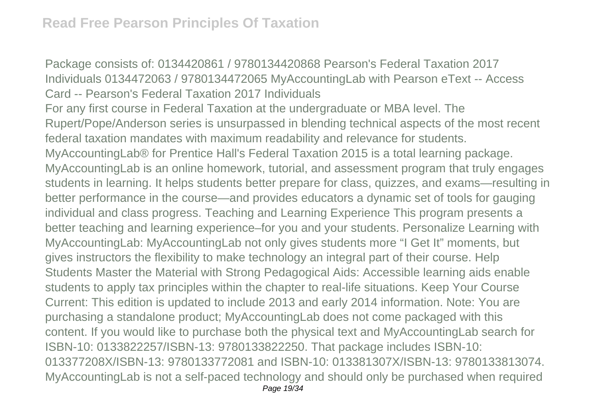Package consists of: 0134420861 / 9780134420868 Pearson's Federal Taxation 2017 Individuals 0134472063 / 9780134472065 MyAccountingLab with Pearson eText -- Access Card -- Pearson's Federal Taxation 2017 Individuals For any first course in Federal Taxation at the undergraduate or MBA level. The Rupert/Pope/Anderson series is unsurpassed in blending technical aspects of the most recent federal taxation mandates with maximum readability and relevance for students. MyAccountingLab® for Prentice Hall's Federal Taxation 2015 is a total learning package. MyAccountingLab is an online homework, tutorial, and assessment program that truly engages students in learning. It helps students better prepare for class, quizzes, and exams—resulting in better performance in the course—and provides educators a dynamic set of tools for gauging individual and class progress. Teaching and Learning Experience This program presents a better teaching and learning experience–for you and your students. Personalize Learning with MyAccountingLab: MyAccountingLab not only gives students more "I Get It" moments, but gives instructors the flexibility to make technology an integral part of their course. Help Students Master the Material with Strong Pedagogical Aids: Accessible learning aids enable students to apply tax principles within the chapter to real-life situations. Keep Your Course Current: This edition is updated to include 2013 and early 2014 information. Note: You are purchasing a standalone product; MyAccountingLab does not come packaged with this content. If you would like to purchase both the physical text and MyAccountingLab search for ISBN-10: 0133822257/ISBN-13: 9780133822250. That package includes ISBN-10: 013377208X/ISBN-13: 9780133772081 and ISBN-10: 013381307X/ISBN-13: 9780133813074. MyAccountingLab is not a self-paced technology and should only be purchased when required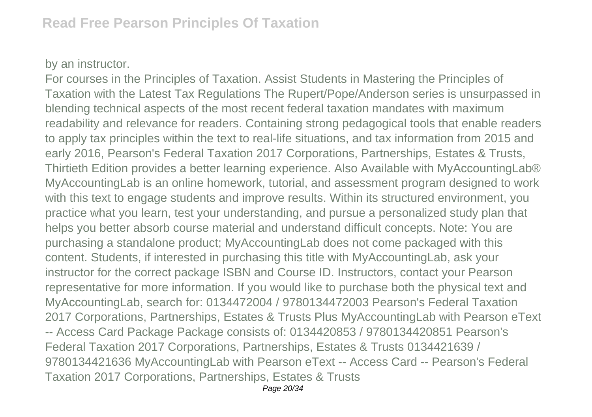## by an instructor.

For courses in the Principles of Taxation. Assist Students in Mastering the Principles of Taxation with the Latest Tax Regulations The Rupert/Pope/Anderson series is unsurpassed in blending technical aspects of the most recent federal taxation mandates with maximum readability and relevance for readers. Containing strong pedagogical tools that enable readers to apply tax principles within the text to real-life situations, and tax information from 2015 and early 2016, Pearson's Federal Taxation 2017 Corporations, Partnerships, Estates & Trusts, Thirtieth Edition provides a better learning experience. Also Available with MyAccountingLab® MyAccountingLab is an online homework, tutorial, and assessment program designed to work with this text to engage students and improve results. Within its structured environment, you practice what you learn, test your understanding, and pursue a personalized study plan that helps you better absorb course material and understand difficult concepts. Note: You are purchasing a standalone product; MyAccountingLab does not come packaged with this content. Students, if interested in purchasing this title with MyAccountingLab, ask your instructor for the correct package ISBN and Course ID. Instructors, contact your Pearson representative for more information. If you would like to purchase both the physical text and MyAccountingLab, search for: 0134472004 / 9780134472003 Pearson's Federal Taxation 2017 Corporations, Partnerships, Estates & Trusts Plus MyAccountingLab with Pearson eText -- Access Card Package Package consists of: 0134420853 / 9780134420851 Pearson's Federal Taxation 2017 Corporations, Partnerships, Estates & Trusts 0134421639 / 9780134421636 MyAccountingLab with Pearson eText -- Access Card -- Pearson's Federal Taxation 2017 Corporations, Partnerships, Estates & Trusts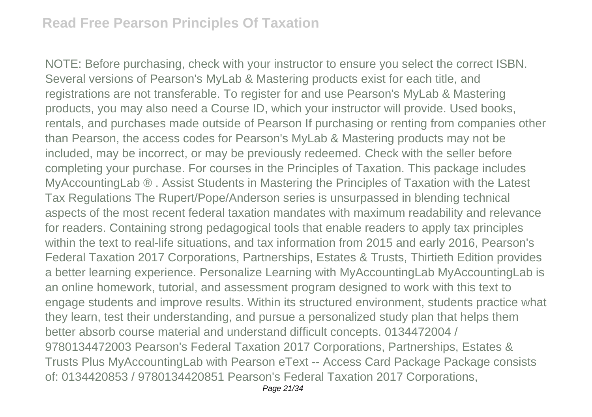NOTE: Before purchasing, check with your instructor to ensure you select the correct ISBN. Several versions of Pearson's MyLab & Mastering products exist for each title, and registrations are not transferable. To register for and use Pearson's MyLab & Mastering products, you may also need a Course ID, which your instructor will provide. Used books, rentals, and purchases made outside of Pearson If purchasing or renting from companies other than Pearson, the access codes for Pearson's MyLab & Mastering products may not be included, may be incorrect, or may be previously redeemed. Check with the seller before completing your purchase. For courses in the Principles of Taxation. This package includes MyAccountingLab ® . Assist Students in Mastering the Principles of Taxation with the Latest Tax Regulations The Rupert/Pope/Anderson series is unsurpassed in blending technical aspects of the most recent federal taxation mandates with maximum readability and relevance for readers. Containing strong pedagogical tools that enable readers to apply tax principles within the text to real-life situations, and tax information from 2015 and early 2016, Pearson's Federal Taxation 2017 Corporations, Partnerships, Estates & Trusts, Thirtieth Edition provides a better learning experience. Personalize Learning with MyAccountingLab MyAccountingLab is an online homework, tutorial, and assessment program designed to work with this text to engage students and improve results. Within its structured environment, students practice what they learn, test their understanding, and pursue a personalized study plan that helps them better absorb course material and understand difficult concepts. 0134472004 / 9780134472003 Pearson's Federal Taxation 2017 Corporations, Partnerships, Estates & Trusts Plus MyAccountingLab with Pearson eText -- Access Card Package Package consists of: 0134420853 / 9780134420851 Pearson's Federal Taxation 2017 Corporations,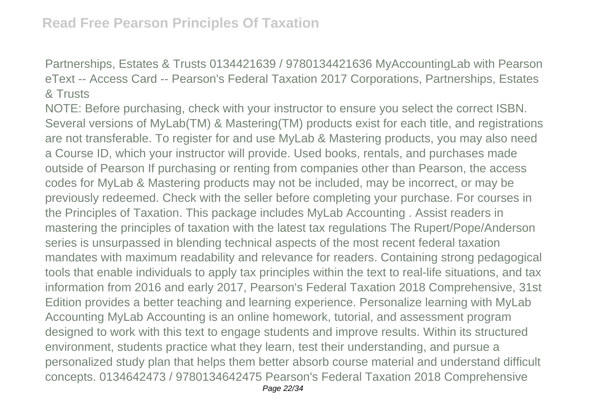Partnerships, Estates & Trusts 0134421639 / 9780134421636 MyAccountingLab with Pearson eText -- Access Card -- Pearson's Federal Taxation 2017 Corporations, Partnerships, Estates & Trusts

NOTE: Before purchasing, check with your instructor to ensure you select the correct ISBN. Several versions of MyLab(TM) & Mastering(TM) products exist for each title, and registrations are not transferable. To register for and use MyLab & Mastering products, you may also need a Course ID, which your instructor will provide. Used books, rentals, and purchases made outside of Pearson If purchasing or renting from companies other than Pearson, the access codes for MyLab & Mastering products may not be included, may be incorrect, or may be previously redeemed. Check with the seller before completing your purchase. For courses in the Principles of Taxation. This package includes MyLab Accounting . Assist readers in mastering the principles of taxation with the latest tax regulations The Rupert/Pope/Anderson series is unsurpassed in blending technical aspects of the most recent federal taxation mandates with maximum readability and relevance for readers. Containing strong pedagogical tools that enable individuals to apply tax principles within the text to real-life situations, and tax information from 2016 and early 2017, Pearson's Federal Taxation 2018 Comprehensive, 31st Edition provides a better teaching and learning experience. Personalize learning with MyLab Accounting MyLab Accounting is an online homework, tutorial, and assessment program designed to work with this text to engage students and improve results. Within its structured environment, students practice what they learn, test their understanding, and pursue a personalized study plan that helps them better absorb course material and understand difficult concepts. 0134642473 / 9780134642475 Pearson's Federal Taxation 2018 Comprehensive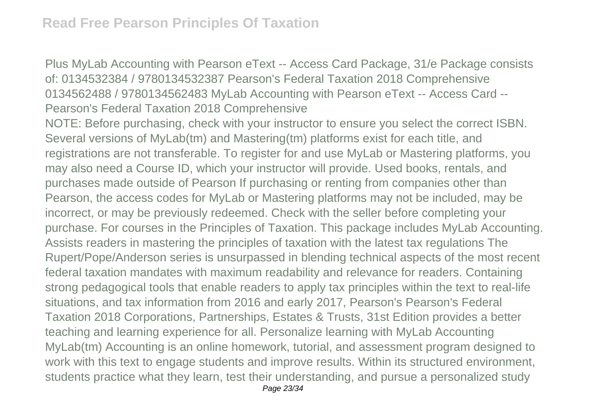Plus MyLab Accounting with Pearson eText -- Access Card Package, 31/e Package consists of: 0134532384 / 9780134532387 Pearson's Federal Taxation 2018 Comprehensive 0134562488 / 9780134562483 MyLab Accounting with Pearson eText -- Access Card -- Pearson's Federal Taxation 2018 Comprehensive

NOTE: Before purchasing, check with your instructor to ensure you select the correct ISBN. Several versions of MyLab(tm) and Mastering(tm) platforms exist for each title, and registrations are not transferable. To register for and use MyLab or Mastering platforms, you may also need a Course ID, which your instructor will provide. Used books, rentals, and purchases made outside of Pearson If purchasing or renting from companies other than Pearson, the access codes for MyLab or Mastering platforms may not be included, may be incorrect, or may be previously redeemed. Check with the seller before completing your purchase. For courses in the Principles of Taxation. This package includes MyLab Accounting. Assists readers in mastering the principles of taxation with the latest tax regulations The Rupert/Pope/Anderson series is unsurpassed in blending technical aspects of the most recent federal taxation mandates with maximum readability and relevance for readers. Containing strong pedagogical tools that enable readers to apply tax principles within the text to real-life situations, and tax information from 2016 and early 2017, Pearson's Pearson's Federal Taxation 2018 Corporations, Partnerships, Estates & Trusts, 31st Edition provides a better teaching and learning experience for all. Personalize learning with MyLab Accounting MyLab(tm) Accounting is an online homework, tutorial, and assessment program designed to work with this text to engage students and improve results. Within its structured environment, students practice what they learn, test their understanding, and pursue a personalized study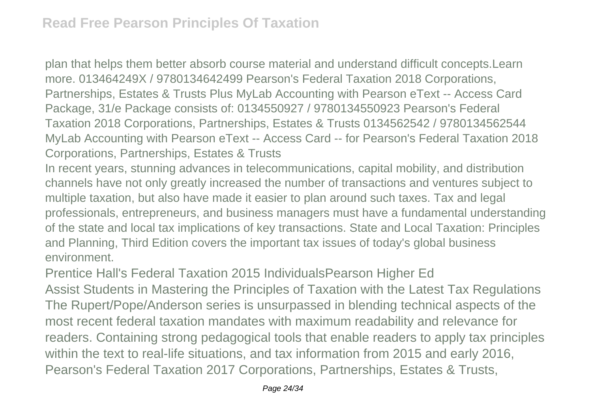plan that helps them better absorb course material and understand difficult concepts.Learn more. 013464249X / 9780134642499 Pearson's Federal Taxation 2018 Corporations, Partnerships, Estates & Trusts Plus MyLab Accounting with Pearson eText -- Access Card Package, 31/e Package consists of: 0134550927 / 9780134550923 Pearson's Federal Taxation 2018 Corporations, Partnerships, Estates & Trusts 0134562542 / 9780134562544 MyLab Accounting with Pearson eText -- Access Card -- for Pearson's Federal Taxation 2018 Corporations, Partnerships, Estates & Trusts

In recent years, stunning advances in telecommunications, capital mobility, and distribution channels have not only greatly increased the number of transactions and ventures subject to multiple taxation, but also have made it easier to plan around such taxes. Tax and legal professionals, entrepreneurs, and business managers must have a fundamental understanding of the state and local tax implications of key transactions. State and Local Taxation: Principles and Planning, Third Edition covers the important tax issues of today's global business environment.

Prentice Hall's Federal Taxation 2015 IndividualsPearson Higher Ed

Assist Students in Mastering the Principles of Taxation with the Latest Tax Regulations The Rupert/Pope/Anderson series is unsurpassed in blending technical aspects of the most recent federal taxation mandates with maximum readability and relevance for readers. Containing strong pedagogical tools that enable readers to apply tax principles within the text to real-life situations, and tax information from 2015 and early 2016, Pearson's Federal Taxation 2017 Corporations, Partnerships, Estates & Trusts,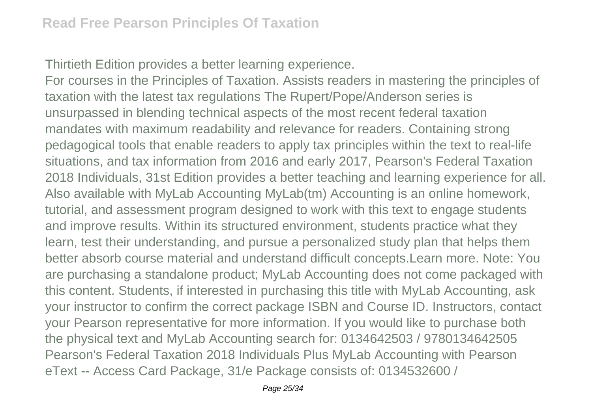Thirtieth Edition provides a better learning experience.

For courses in the Principles of Taxation. Assists readers in mastering the principles of taxation with the latest tax regulations The Rupert/Pope/Anderson series is unsurpassed in blending technical aspects of the most recent federal taxation mandates with maximum readability and relevance for readers. Containing strong pedagogical tools that enable readers to apply tax principles within the text to real-life situations, and tax information from 2016 and early 2017, Pearson's Federal Taxation 2018 Individuals, 31st Edition provides a better teaching and learning experience for all. Also available with MyLab Accounting MyLab(tm) Accounting is an online homework, tutorial, and assessment program designed to work with this text to engage students and improve results. Within its structured environment, students practice what they learn, test their understanding, and pursue a personalized study plan that helps them better absorb course material and understand difficult concepts.Learn more. Note: You are purchasing a standalone product; MyLab Accounting does not come packaged with this content. Students, if interested in purchasing this title with MyLab Accounting, ask your instructor to confirm the correct package ISBN and Course ID. Instructors, contact your Pearson representative for more information. If you would like to purchase both the physical text and MyLab Accounting search for: 0134642503 / 9780134642505 Pearson's Federal Taxation 2018 Individuals Plus MyLab Accounting with Pearson eText -- Access Card Package, 31/e Package consists of: 0134532600 /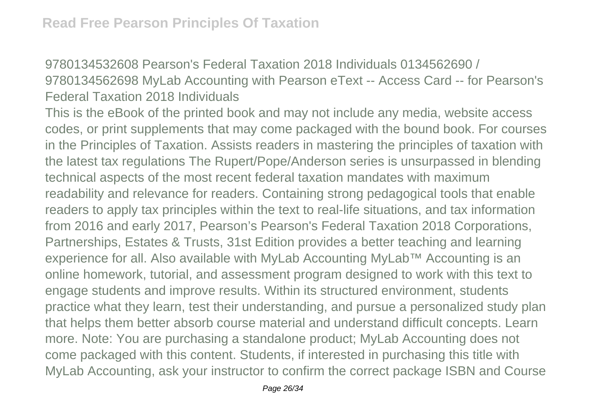9780134532608 Pearson's Federal Taxation 2018 Individuals 0134562690 / 9780134562698 MyLab Accounting with Pearson eText -- Access Card -- for Pearson's Federal Taxation 2018 Individuals

This is the eBook of the printed book and may not include any media, website access codes, or print supplements that may come packaged with the bound book. For courses in the Principles of Taxation. Assists readers in mastering the principles of taxation with the latest tax regulations The Rupert/Pope/Anderson series is unsurpassed in blending technical aspects of the most recent federal taxation mandates with maximum readability and relevance for readers. Containing strong pedagogical tools that enable readers to apply tax principles within the text to real-life situations, and tax information from 2016 and early 2017, Pearson's Pearson's Federal Taxation 2018 Corporations, Partnerships, Estates & Trusts, 31st Edition provides a better teaching and learning experience for all. Also available with MyLab Accounting MyLab™ Accounting is an online homework, tutorial, and assessment program designed to work with this text to engage students and improve results. Within its structured environment, students practice what they learn, test their understanding, and pursue a personalized study plan that helps them better absorb course material and understand difficult concepts. Learn more. Note: You are purchasing a standalone product; MyLab Accounting does not come packaged with this content. Students, if interested in purchasing this title with MyLab Accounting, ask your instructor to confirm the correct package ISBN and Course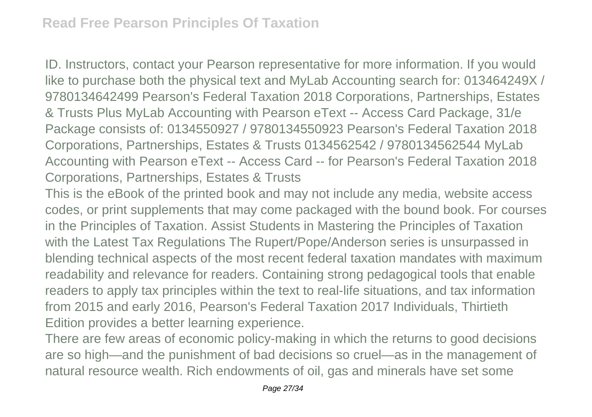ID. Instructors, contact your Pearson representative for more information. If you would like to purchase both the physical text and MyLab Accounting search for: 013464249X / 9780134642499 Pearson's Federal Taxation 2018 Corporations, Partnerships, Estates & Trusts Plus MyLab Accounting with Pearson eText -- Access Card Package, 31/e Package consists of: 0134550927 / 9780134550923 Pearson's Federal Taxation 2018 Corporations, Partnerships, Estates & Trusts 0134562542 / 9780134562544 MyLab Accounting with Pearson eText -- Access Card -- for Pearson's Federal Taxation 2018 Corporations, Partnerships, Estates & Trusts

This is the eBook of the printed book and may not include any media, website access codes, or print supplements that may come packaged with the bound book. For courses in the Principles of Taxation. Assist Students in Mastering the Principles of Taxation with the Latest Tax Regulations The Rupert/Pope/Anderson series is unsurpassed in blending technical aspects of the most recent federal taxation mandates with maximum readability and relevance for readers. Containing strong pedagogical tools that enable readers to apply tax principles within the text to real-life situations, and tax information from 2015 and early 2016, Pearson's Federal Taxation 2017 Individuals, Thirtieth Edition provides a better learning experience.

There are few areas of economic policy-making in which the returns to good decisions are so high—and the punishment of bad decisions so cruel—as in the management of natural resource wealth. Rich endowments of oil, gas and minerals have set some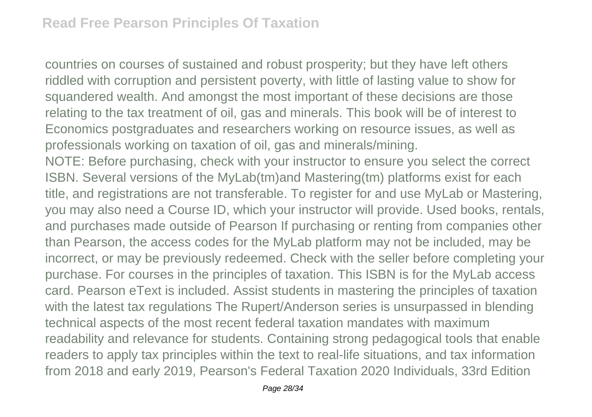countries on courses of sustained and robust prosperity; but they have left others riddled with corruption and persistent poverty, with little of lasting value to show for squandered wealth. And amongst the most important of these decisions are those relating to the tax treatment of oil, gas and minerals. This book will be of interest to Economics postgraduates and researchers working on resource issues, as well as professionals working on taxation of oil, gas and minerals/mining. NOTE: Before purchasing, check with your instructor to ensure you select the correct ISBN. Several versions of the MyLab(tm)and Mastering(tm) platforms exist for each title, and registrations are not transferable. To register for and use MyLab or Mastering, you may also need a Course ID, which your instructor will provide. Used books, rentals, and purchases made outside of Pearson If purchasing or renting from companies other than Pearson, the access codes for the MyLab platform may not be included, may be incorrect, or may be previously redeemed. Check with the seller before completing your purchase. For courses in the principles of taxation. This ISBN is for the MyLab access card. Pearson eText is included. Assist students in mastering the principles of taxation with the latest tax regulations The Rupert/Anderson series is unsurpassed in blending technical aspects of the most recent federal taxation mandates with maximum readability and relevance for students. Containing strong pedagogical tools that enable readers to apply tax principles within the text to real-life situations, and tax information from 2018 and early 2019, Pearson's Federal Taxation 2020 Individuals, 33rd Edition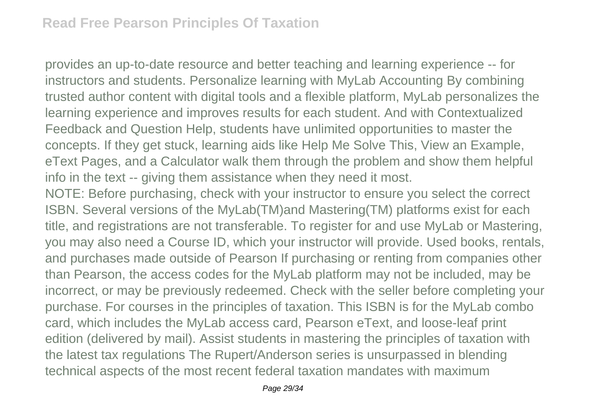provides an up-to-date resource and better teaching and learning experience -- for instructors and students. Personalize learning with MyLab Accounting By combining trusted author content with digital tools and a flexible platform, MyLab personalizes the learning experience and improves results for each student. And with Contextualized Feedback and Question Help, students have unlimited opportunities to master the concepts. If they get stuck, learning aids like Help Me Solve This, View an Example, eText Pages, and a Calculator walk them through the problem and show them helpful info in the text -- giving them assistance when they need it most.

NOTE: Before purchasing, check with your instructor to ensure you select the correct ISBN. Several versions of the MyLab(TM)and Mastering(TM) platforms exist for each title, and registrations are not transferable. To register for and use MyLab or Mastering, you may also need a Course ID, which your instructor will provide. Used books, rentals, and purchases made outside of Pearson If purchasing or renting from companies other than Pearson, the access codes for the MyLab platform may not be included, may be incorrect, or may be previously redeemed. Check with the seller before completing your purchase. For courses in the principles of taxation. This ISBN is for the MyLab combo card, which includes the MyLab access card, Pearson eText, and loose-leaf print edition (delivered by mail). Assist students in mastering the principles of taxation with the latest tax regulations The Rupert/Anderson series is unsurpassed in blending technical aspects of the most recent federal taxation mandates with maximum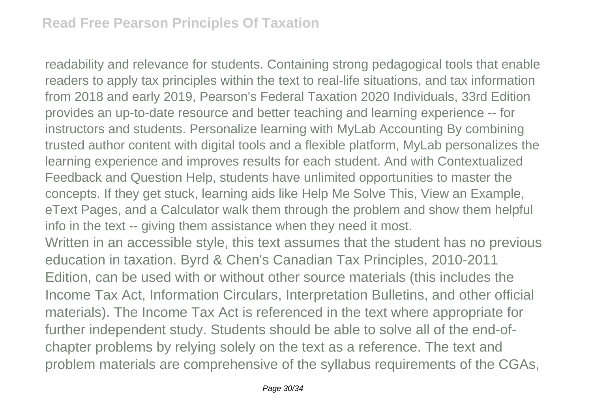readability and relevance for students. Containing strong pedagogical tools that enable readers to apply tax principles within the text to real-life situations, and tax information from 2018 and early 2019, Pearson's Federal Taxation 2020 Individuals, 33rd Edition provides an up-to-date resource and better teaching and learning experience -- for instructors and students. Personalize learning with MyLab Accounting By combining trusted author content with digital tools and a flexible platform, MyLab personalizes the learning experience and improves results for each student. And with Contextualized Feedback and Question Help, students have unlimited opportunities to master the concepts. If they get stuck, learning aids like Help Me Solve This, View an Example, eText Pages, and a Calculator walk them through the problem and show them helpful info in the text -- giving them assistance when they need it most. Written in an accessible style, this text assumes that the student has no previous education in taxation. Byrd & Chen's Canadian Tax Principles, 2010-2011 Edition, can be used with or without other source materials (this includes the

Income Tax Act, Information Circulars, Interpretation Bulletins, and other official materials). The Income Tax Act is referenced in the text where appropriate for further independent study. Students should be able to solve all of the end-ofchapter problems by relying solely on the text as a reference. The text and problem materials are comprehensive of the syllabus requirements of the CGAs,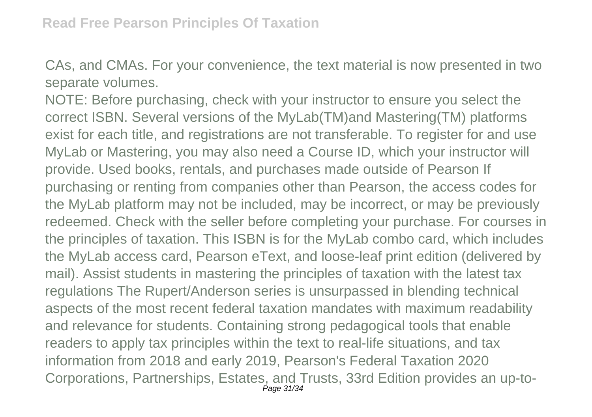CAs, and CMAs. For your convenience, the text material is now presented in two separate volumes.

NOTE: Before purchasing, check with your instructor to ensure you select the correct ISBN. Several versions of the MyLab(TM)and Mastering(TM) platforms exist for each title, and registrations are not transferable. To register for and use MyLab or Mastering, you may also need a Course ID, which your instructor will provide. Used books, rentals, and purchases made outside of Pearson If purchasing or renting from companies other than Pearson, the access codes for the MyLab platform may not be included, may be incorrect, or may be previously redeemed. Check with the seller before completing your purchase. For courses in the principles of taxation. This ISBN is for the MyLab combo card, which includes the MyLab access card, Pearson eText, and loose-leaf print edition (delivered by mail). Assist students in mastering the principles of taxation with the latest tax regulations The Rupert/Anderson series is unsurpassed in blending technical aspects of the most recent federal taxation mandates with maximum readability and relevance for students. Containing strong pedagogical tools that enable readers to apply tax principles within the text to real-life situations, and tax information from 2018 and early 2019, Pearson's Federal Taxation 2020 Corporations, Partnerships, Estates, and Trusts, 33rd Edition provides an up-to-Page 31/34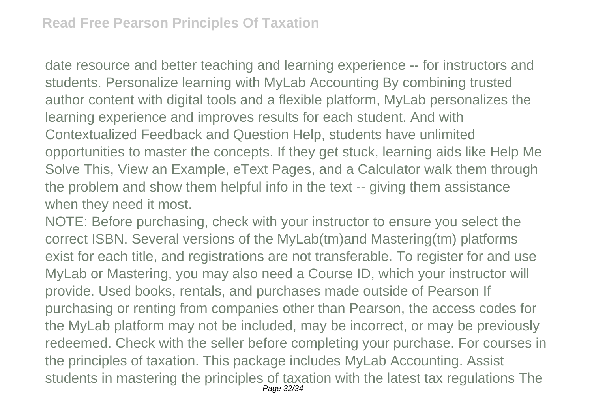date resource and better teaching and learning experience -- for instructors and students. Personalize learning with MyLab Accounting By combining trusted author content with digital tools and a flexible platform, MyLab personalizes the learning experience and improves results for each student. And with Contextualized Feedback and Question Help, students have unlimited opportunities to master the concepts. If they get stuck, learning aids like Help Me Solve This, View an Example, eText Pages, and a Calculator walk them through the problem and show them helpful info in the text -- giving them assistance when they need it most.

NOTE: Before purchasing, check with your instructor to ensure you select the correct ISBN. Several versions of the MyLab(tm)and Mastering(tm) platforms exist for each title, and registrations are not transferable. To register for and use MyLab or Mastering, you may also need a Course ID, which your instructor will provide. Used books, rentals, and purchases made outside of Pearson If purchasing or renting from companies other than Pearson, the access codes for the MyLab platform may not be included, may be incorrect, or may be previously redeemed. Check with the seller before completing your purchase. For courses in the principles of taxation. This package includes MyLab Accounting. Assist students in mastering the principles of taxation with the latest tax regulations The Page 32/34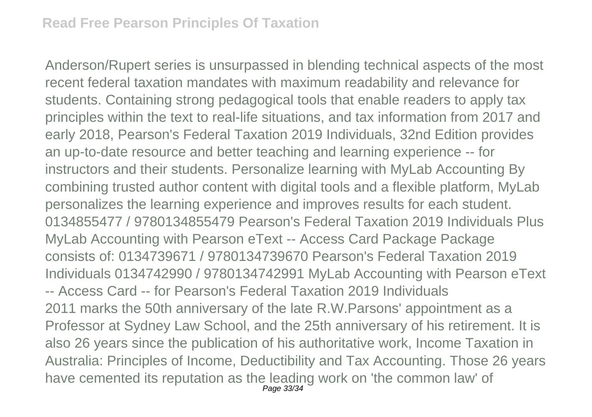Anderson/Rupert series is unsurpassed in blending technical aspects of the most recent federal taxation mandates with maximum readability and relevance for students. Containing strong pedagogical tools that enable readers to apply tax principles within the text to real-life situations, and tax information from 2017 and early 2018, Pearson's Federal Taxation 2019 Individuals, 32nd Edition provides an up-to-date resource and better teaching and learning experience -- for instructors and their students. Personalize learning with MyLab Accounting By combining trusted author content with digital tools and a flexible platform, MyLab personalizes the learning experience and improves results for each student. 0134855477 / 9780134855479 Pearson's Federal Taxation 2019 Individuals Plus MyLab Accounting with Pearson eText -- Access Card Package Package consists of: 0134739671 / 9780134739670 Pearson's Federal Taxation 2019 Individuals 0134742990 / 9780134742991 MyLab Accounting with Pearson eText -- Access Card -- for Pearson's Federal Taxation 2019 Individuals 2011 marks the 50th anniversary of the late R.W.Parsons' appointment as a Professor at Sydney Law School, and the 25th anniversary of his retirement. It is also 26 years since the publication of his authoritative work, Income Taxation in Australia: Principles of Income, Deductibility and Tax Accounting. Those 26 years have cemented its reputation as the leading work on 'the common law' of Page 33/34